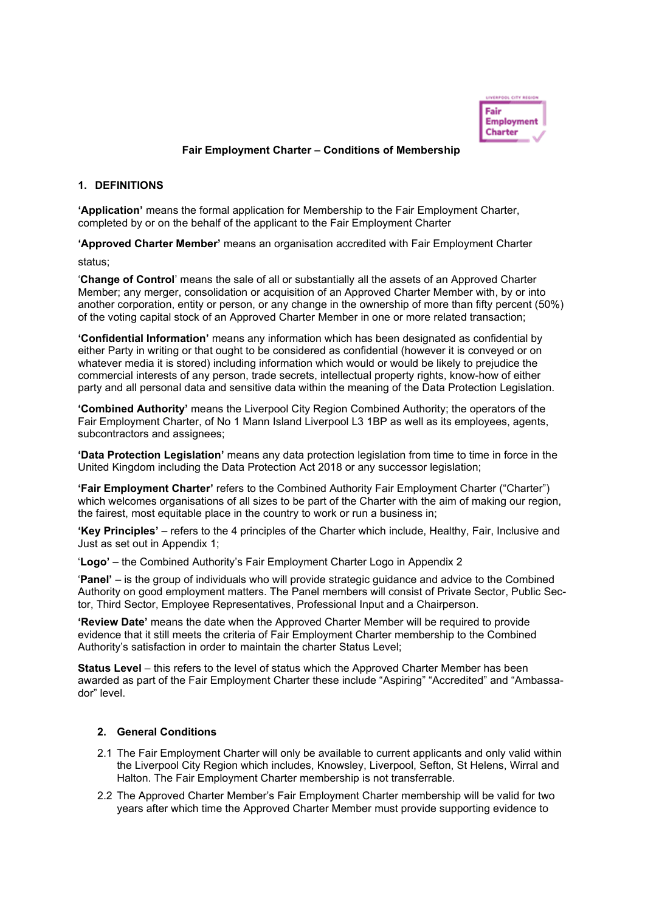

## **Fair Employment Charter – Conditions of Membership**

### **1. DEFINITIONS**

**'Application'** means the formal application for Membership to the Fair Employment Charter, completed by or on the behalf of the applicant to the Fair Employment Charter

**'Approved Charter Member'** means an organisation accredited with Fair Employment Charter

status;

'**Change of Control**' means the sale of all or substantially all the assets of an Approved Charter Member; any merger, consolidation or acquisition of an Approved Charter Member with, by or into another corporation, entity or person, or any change in the ownership of more than fifty percent (50%) of the voting capital stock of an Approved Charter Member in one or more related transaction;

**'Confidential Information'** means any information which has been designated as confidential by either Party in writing or that ought to be considered as confidential (however it is conveyed or on whatever media it is stored) including information which would or would be likely to prejudice the commercial interests of any person, trade secrets, intellectual property rights, know-how of either party and all personal data and sensitive data within the meaning of the Data Protection Legislation.

**'Combined Authority'** means the Liverpool City Region Combined Authority; the operators of the Fair Employment Charter, of No 1 Mann Island Liverpool L3 1BP as well as its employees, agents, subcontractors and assignees;

**'Data Protection Legislation'** means any data protection legislation from time to time in force in the United Kingdom including the Data Protection Act 2018 or any successor legislation;

**'Fair Employment Charter'** refers to the Combined Authority Fair Employment Charter ("Charter") which welcomes organisations of all sizes to be part of the Charter with the aim of making our region, the fairest, most equitable place in the country to work or run a business in;

**'Key Principles'** – refers to the 4 principles of the Charter which include, Healthy, Fair, Inclusive and Just as set out in Appendix 1;

'**Logo'** – the Combined Authority's Fair Employment Charter Logo in Appendix 2

'**Panel'** – is the group of individuals who will provide strategic guidance and advice to the Combined Authority on good employment matters. The Panel members will consist of Private Sector, Public Sector, Third Sector, Employee Representatives, Professional Input and a Chairperson.

**'Review Date'** means the date when the Approved Charter Member will be required to provide evidence that it still meets the criteria of Fair Employment Charter membership to the Combined Authority's satisfaction in order to maintain the charter Status Level;

**Status Level** – this refers to the level of status which the Approved Charter Member has been awarded as part of the Fair Employment Charter these include "Aspiring" "Accredited" and "Ambassador" level.

### **2. General Conditions**

- 2.1 The Fair Employment Charter will only be available to current applicants and only valid within the Liverpool City Region which includes, Knowsley, Liverpool, Sefton, St Helens, Wirral and Halton. The Fair Employment Charter membership is not transferrable.
- 2.2 The Approved Charter Member's Fair Employment Charter membership will be valid for two years after which time the Approved Charter Member must provide supporting evidence to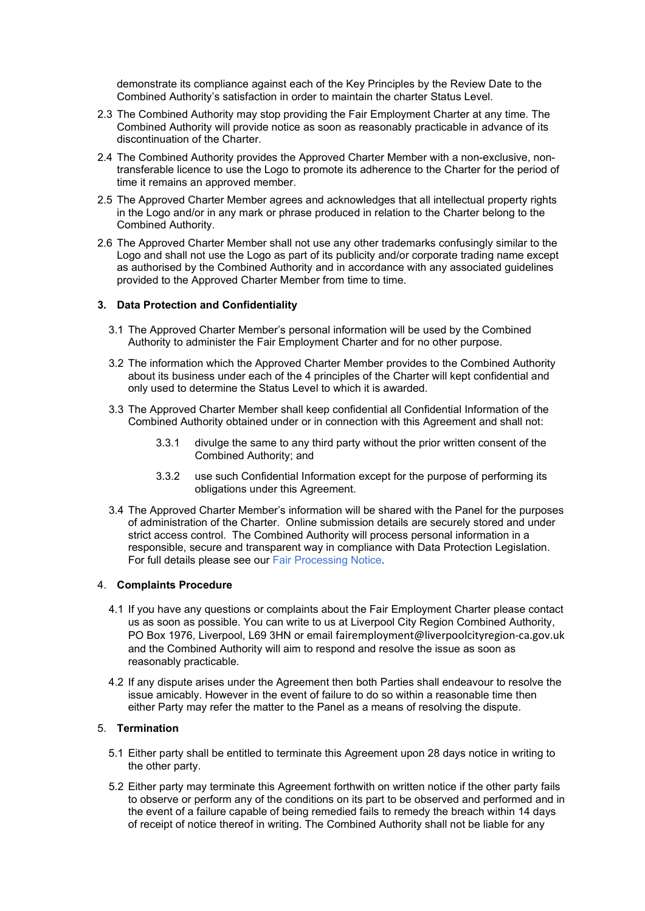demonstrate its compliance against each of the Key Principles by the Review Date to the Combined Authority's satisfaction in order to maintain the charter Status Level.

- 2.3 The Combined Authority may stop providing the Fair Employment Charter at any time. The Combined Authority will provide notice as soon as reasonably practicable in advance of its discontinuation of the Charter.
- 2.4 The Combined Authority provides the Approved Charter Member with a non-exclusive, nontransferable licence to use the Logo to promote its adherence to the Charter for the period of time it remains an approved member.
- 2.5 The Approved Charter Member agrees and acknowledges that all intellectual property rights in the Logo and/or in any mark or phrase produced in relation to the Charter belong to the Combined Authority.
- 2.6 The Approved Charter Member shall not use any other trademarks confusingly similar to the Logo and shall not use the Logo as part of its publicity and/or corporate trading name except as authorised by the Combined Authority and in accordance with any associated guidelines provided to the Approved Charter Member from time to time.

### **3. Data Protection and Confidentiality**

- 3.1 The Approved Charter Member's personal information will be used by the Combined Authority to administer the Fair Employment Charter and for no other purpose.
- 3.2 The information which the Approved Charter Member provides to the Combined Authority about its business under each of the 4 principles of the Charter will kept confidential and only used to determine the Status Level to which it is awarded.
- 3.3 The Approved Charter Member shall keep confidential all Confidential Information of the Combined Authority obtained under or in connection with this Agreement and shall not:
	- 3.3.1 divulge the same to any third party without the prior written consent of the Combined Authority; and
	- 3.3.2 use such Confidential Information except for the purpose of performing its obligations under this Agreement.
- 3.4 The Approved Charter Member's information will be shared with the Panel for the purposes of administration of the Charter. Online submission details are securely stored and under strict access control. The Combined Authority will process personal information in a responsible, secure and transparent way in compliance with Data Protection Legislation. For full details please see our Fair Processing Notice.

### 4. **Complaints Procedure**

- 4.1 If you have any questions or complaints about the Fair Employment Charter please contact us as soon as possible. You can write to us at Liverpool City Region Combined Authority, PO Box 1976, Liverpool, L69 3HN or email [fairemployment@liverpoolcityregion-ca.gov.uk](mailto:fairemployment@liverpoolcityregion-ca.gov.uk) and the Combined Authority will aim to respond and resolve the issue as soon as reasonably practicable.
- 4.2 If any dispute arises under the Agreement then both Parties shall endeavour to resolve the issue amicably. However in the event of failure to do so within a reasonable time then either Party may refer the matter to the Panel as a means of resolving the dispute.

## 5. **Termination**

- 5.1 Either party shall be entitled to terminate this Agreement upon 28 days notice in writing to the other party.
- 5.2 Either party may terminate this Agreement forthwith on written notice if the other party fails to observe or perform any of the conditions on its part to be observed and performed and in the event of a failure capable of being remedied fails to remedy the breach within 14 days of receipt of notice thereof in writing. The Combined Authority shall not be liable for any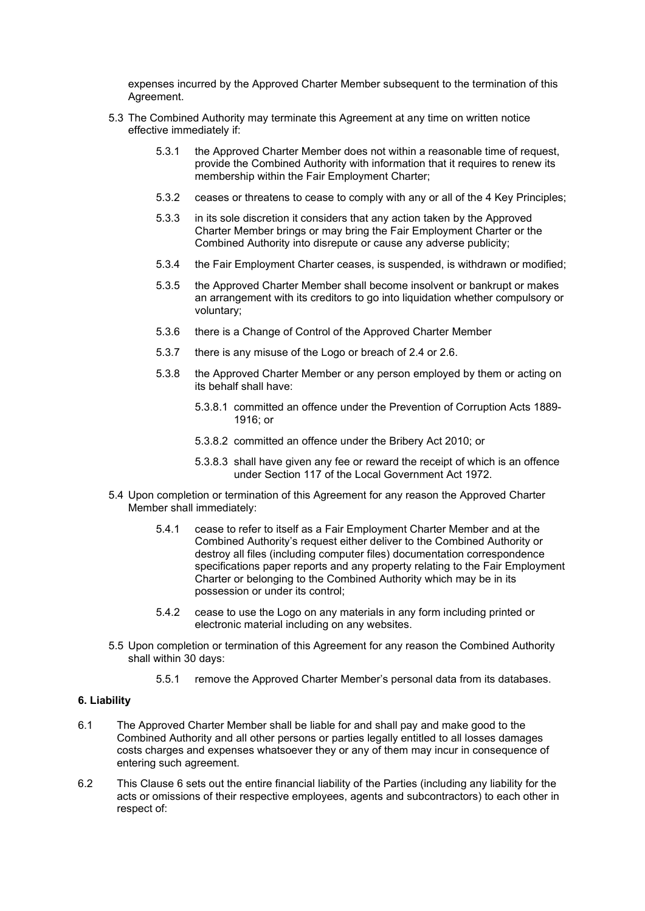expenses incurred by the Approved Charter Member subsequent to the termination of this Agreement.

- 5.3 The Combined Authority may terminate this Agreement at any time on written notice effective immediately if:
	- 5.3.1 the Approved Charter Member does not within a reasonable time of request, provide the Combined Authority with information that it requires to renew its membership within the Fair Employment Charter;
	- 5.3.2 ceases or threatens to cease to comply with any or all of the 4 Key Principles;
	- 5.3.3 in its sole discretion it considers that any action taken by the Approved Charter Member brings or may bring the Fair Employment Charter or the Combined Authority into disrepute or cause any adverse publicity;
	- 5.3.4 the Fair Employment Charter ceases, is suspended, is withdrawn or modified;
	- 5.3.5 the Approved Charter Member shall become insolvent or bankrupt or makes an arrangement with its creditors to go into liquidation whether compulsory or voluntary;
	- 5.3.6 there is a Change of Control of the Approved Charter Member
	- 5.3.7 there is any misuse of the Logo or breach of 2.4 or 2.6.
	- 5.3.8 the Approved Charter Member or any person employed by them or acting on its behalf shall have:
		- 5.3.8.1 committed an offence under the Prevention of Corruption Acts 1889- 1916; or
		- 5.3.8.2 committed an offence under the Bribery Act 2010; or
		- 5.3.8.3 shall have given any fee or reward the receipt of which is an offence under Section 117 of the Local Government Act 1972.
- 5.4 Upon completion or termination of this Agreement for any reason the Approved Charter Member shall immediately:
	- 5.4.1 cease to refer to itself as a Fair Employment Charter Member and at the Combined Authority's request either deliver to the Combined Authority or destroy all files (including computer files) documentation correspondence specifications paper reports and any property relating to the Fair Employment Charter or belonging to the Combined Authority which may be in its possession or under its control;
	- 5.4.2 cease to use the Logo on any materials in any form including printed or electronic material including on any websites.
- 5.5 Upon completion or termination of this Agreement for any reason the Combined Authority shall within 30 days:
	- 5.5.1 remove the Approved Charter Member's personal data from its databases.

### **6. Liability**

- 6.1 The Approved Charter Member shall be liable for and shall pay and make good to the Combined Authority and all other persons or parties legally entitled to all losses damages costs charges and expenses whatsoever they or any of them may incur in consequence of entering such agreement.
- 6.2 This Clause 6 sets out the entire financial liability of the Parties (including any liability for the acts or omissions of their respective employees, agents and subcontractors) to each other in respect of: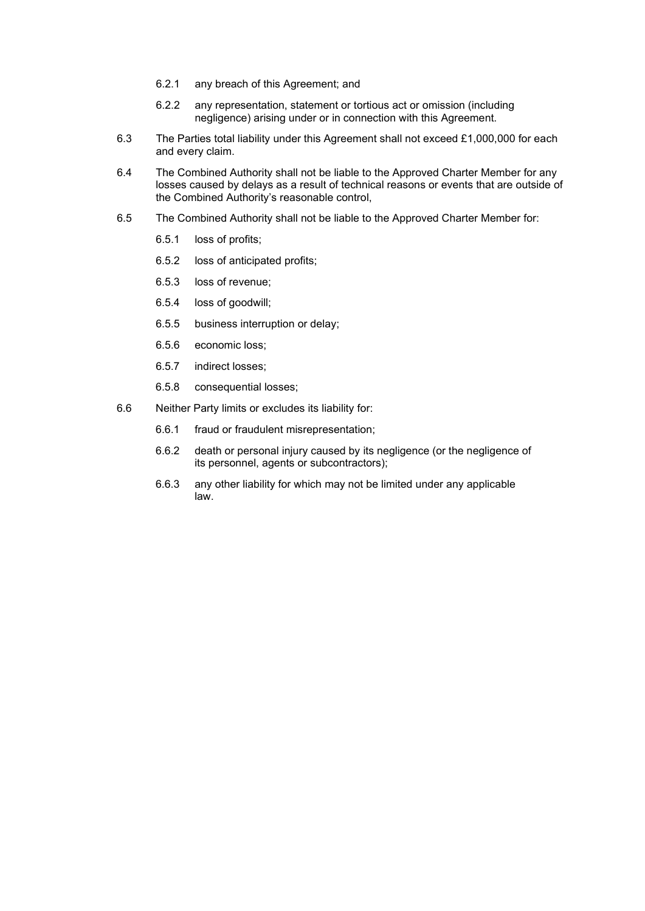- 6.2.1 any breach of this Agreement; and
- 6.2.2 any representation, statement or tortious act or omission (including negligence) arising under or in connection with this Agreement.
- 6.3 The Parties total liability under this Agreement shall not exceed £1,000,000 for each and every claim.
- 6.4 The Combined Authority shall not be liable to the Approved Charter Member for any losses caused by delays as a result of technical reasons or events that are outside of the Combined Authority's reasonable control,
- 6.5 The Combined Authority shall not be liable to the Approved Charter Member for:
	- 6.5.1 loss of profits;
	- 6.5.2 loss of anticipated profits;
	- 6.5.3 loss of revenue;
	- 6.5.4 loss of goodwill;
	- 6.5.5 business interruption or delay;
	- 6.5.6 economic loss;
	- 6.5.7 indirect losses;
	- 6.5.8 consequential losses;
- 6.6 Neither Party limits or excludes its liability for:
	- 6.6.1 fraud or fraudulent misrepresentation;
	- 6.6.2 death or personal injury caused by its negligence (or the negligence of its personnel, agents or subcontractors);
	- 6.6.3 any other liability for which may not be limited under any applicable law.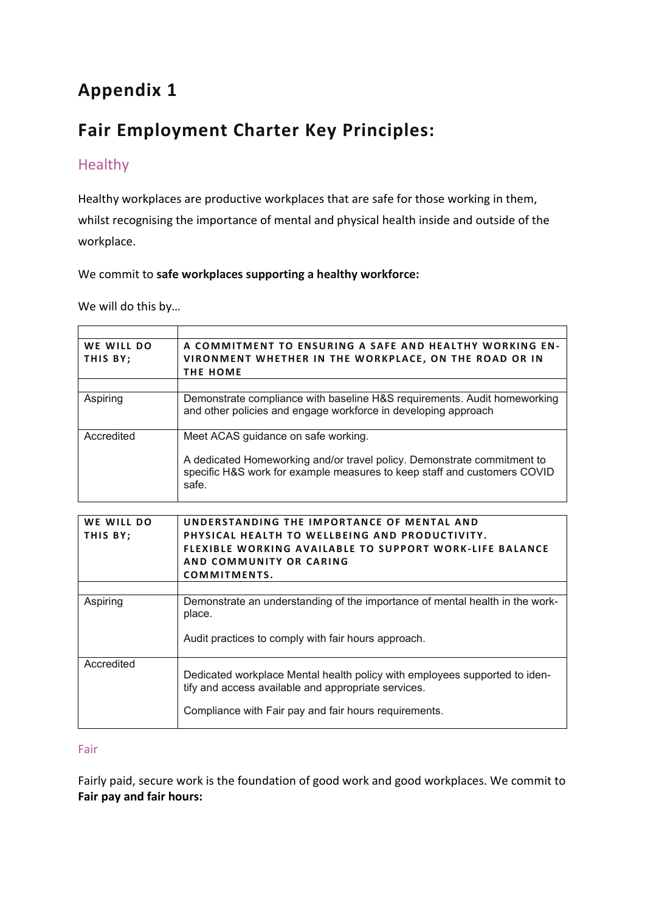# **Appendix 1**

# **Fair Employment Charter Key Principles:**

# Healthy

Healthy workplaces are productive workplaces that are safe for those working in them,

whilst recognising the importance of mental and physical health inside and outside of the workplace.

# We commit to **safe workplaces supporting a healthy workforce:**

We will do this by…

| WE WILL DO | A COMMITMENT TO ENSURING A SAFE AND HEALTHY WORKING EN-                                                                                                      |
|------------|--------------------------------------------------------------------------------------------------------------------------------------------------------------|
| THIS BY;   | VIRONMENT WHETHER IN THE WORKPLACE, ON THE ROAD OR IN                                                                                                        |
|            | <b>THE HOME</b>                                                                                                                                              |
|            |                                                                                                                                                              |
| Aspiring   | Demonstrate compliance with baseline H&S requirements. Audit homeworking<br>and other policies and engage workforce in developing approach                   |
| Accredited | Meet ACAS guidance on safe working.                                                                                                                          |
|            | A dedicated Homeworking and/or travel policy. Demonstrate commitment to<br>specific H&S work for example measures to keep staff and customers COVID<br>safe. |

| WE WILL DO | UNDERSTANDING THE IMPORTANCE OF MENTAL AND                                                                                        |
|------------|-----------------------------------------------------------------------------------------------------------------------------------|
| THIS BY;   | PHYSICAL HEALTH TO WELLBEING AND PRODUCTIVITY.                                                                                    |
|            | <b>FLEXIBLE WORKING AVAILABLE TO SUPPORT WORK-LIFE BALANCE</b>                                                                    |
|            | AND COMMUNITY OR CARING                                                                                                           |
|            | COMMITMENTS.                                                                                                                      |
|            |                                                                                                                                   |
| Aspiring   | Demonstrate an understanding of the importance of mental health in the work-<br>place.                                            |
|            | Audit practices to comply with fair hours approach.                                                                               |
| Accredited | Dedicated workplace Mental health policy with employees supported to iden-<br>tify and access available and appropriate services. |
|            | Compliance with Fair pay and fair hours requirements.                                                                             |

## Fair

Fairly paid, secure work is the foundation of good work and good workplaces. We commit to **Fair pay and fair hours:**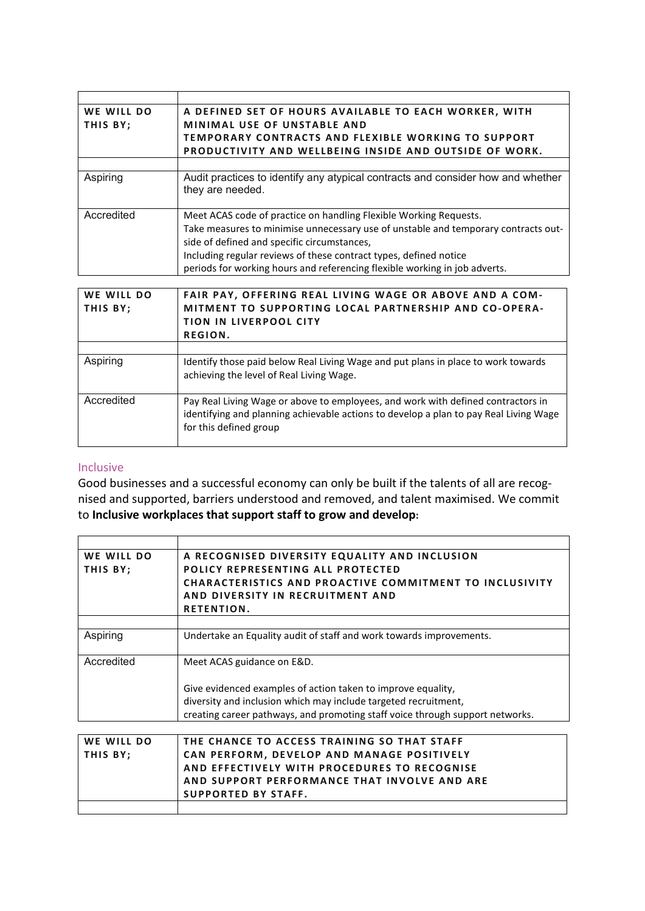| WE WILL DO             | A DEFINED SET OF HOURS AVAILABLE TO EACH WORKER, WITH                                                                                                                     |
|------------------------|---------------------------------------------------------------------------------------------------------------------------------------------------------------------------|
| THIS BY;               | <b>MINIMAL USE OF UNSTABLE AND</b>                                                                                                                                        |
|                        | <b>TEMPORARY CONTRACTS AND FLEXIBLE WORKING TO SUPPORT</b>                                                                                                                |
|                        | <b>PRODUCTIVITY AND WELLBEING INSIDE AND OUTSIDE OF WORK.</b>                                                                                                             |
|                        |                                                                                                                                                                           |
| Aspiring               | Audit practices to identify any atypical contracts and consider how and whether<br>they are needed.                                                                       |
| Accredited             | Meet ACAS code of practice on handling Flexible Working Requests.                                                                                                         |
|                        | Take measures to minimise unnecessary use of unstable and temporary contracts out-                                                                                        |
|                        | side of defined and specific circumstances,                                                                                                                               |
|                        | Including regular reviews of these contract types, defined notice                                                                                                         |
|                        | periods for working hours and referencing flexible working in job adverts.                                                                                                |
|                        |                                                                                                                                                                           |
| WE WILL DO<br>THIS BY; | FAIR PAY, OFFERING REAL LIVING WAGE OR ABOVE AND A COM-<br>MITMENT TO SUPPORTING LOCAL PARTNERSHIP AND CO-OPERA-                                                          |
|                        | <b>TION IN LIVERPOOL CITY</b>                                                                                                                                             |
|                        | REGION.                                                                                                                                                                   |
|                        |                                                                                                                                                                           |
| Aspiring               | Identify those paid below Real Living Wage and put plans in place to work towards                                                                                         |
|                        | achieving the level of Real Living Wage.                                                                                                                                  |
|                        |                                                                                                                                                                           |
| Accredited             | Pay Real Living Wage or above to employees, and work with defined contractors in<br>identifying and planning achievable actions to develop a plan to pay Real Living Wage |

## Inclusive

Good businesses and a successful economy can only be built if the talents of all are recognised and supported, barriers understood and removed, and talent maximised. We commit to **Inclusive workplaces that support staff to grow and develop:**

for this defined group

**SUPPORTED BY STAFF.**

| WE WILL DO | A RECOGNISED DIVERSITY EQUALITY AND INCLUSION                                 |
|------------|-------------------------------------------------------------------------------|
| THIS BY;   | POLICY REPRESENTING ALL PROTECTED                                             |
|            | <b>CHARACTERISTICS AND PROACTIVE COMMITMENT TO INCLUSIVITY</b>                |
|            | AND DIVERSITY IN RECRUITMENT AND                                              |
|            | <b>RETENTION.</b>                                                             |
|            |                                                                               |
| Aspiring   | Undertake an Equality audit of staff and work towards improvements.           |
|            |                                                                               |
| Accredited | Meet ACAS guidance on E&D.                                                    |
|            |                                                                               |
|            | Give evidenced examples of action taken to improve equality,                  |
|            | diversity and inclusion which may include targeted recruitment,               |
|            | creating career pathways, and promoting staff voice through support networks. |
|            |                                                                               |
| WE WILL DO | THE CHANCE TO ACCESS TRAINING SO THAT STAFF                                   |
| THIS BY;   | CAN PERFORM, DEVELOP AND MANAGE POSITIVELY                                    |
|            | AND EFFECTIVELY WITH PROCEDURES TO RECOGNISE                                  |

**AND SUPPORT PERFORMANCE THAT INVOLVE AND ARE**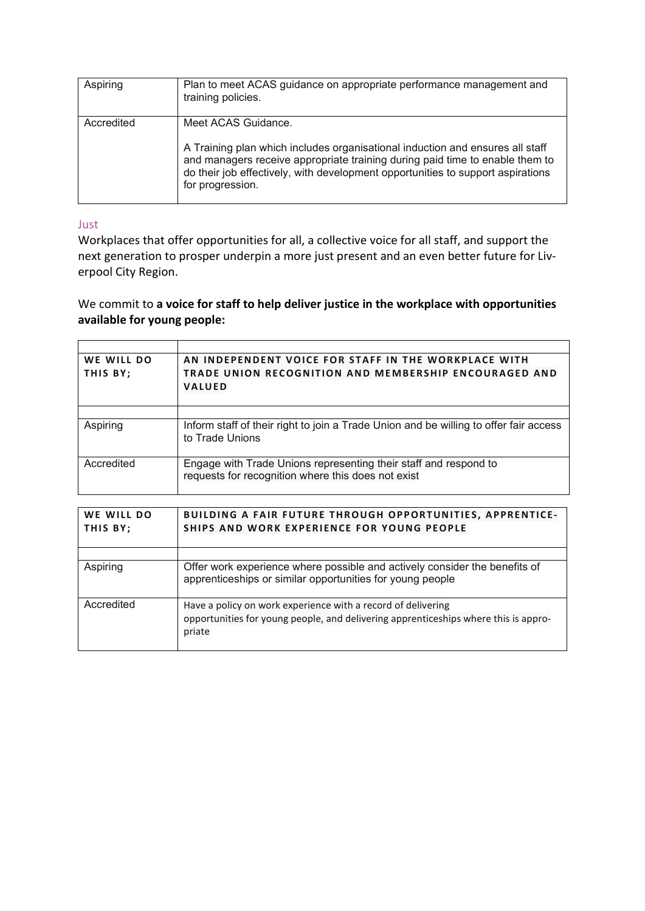| Aspiring   | Plan to meet ACAS guidance on appropriate performance management and<br>training policies.                                                                                                                                                                                                  |
|------------|---------------------------------------------------------------------------------------------------------------------------------------------------------------------------------------------------------------------------------------------------------------------------------------------|
| Accredited | Meet ACAS Guidance.<br>A Training plan which includes organisational induction and ensures all staff<br>and managers receive appropriate training during paid time to enable them to<br>do their job effectively, with development opportunities to support aspirations<br>for progression. |

## Just

Workplaces that offer opportunities for all, a collective voice for all staff, and support the next generation to prosper underpin a more just present and an even better future for Liverpool City Region.

# We commit to **a voice for staff to help deliver justice in the workplace with opportunities available for young people:**

| WE WILL DO<br>THIS BY; | AN INDEPENDENT VOICE FOR STAFF IN THE WORKPLACE WITH<br><b>TRADE UNION RECOGNITION AND MEMBERSHIP ENCOURAGED AND</b><br><b>VALUED</b> |
|------------------------|---------------------------------------------------------------------------------------------------------------------------------------|
|                        |                                                                                                                                       |
| Aspiring               | Inform staff of their right to join a Trade Union and be willing to offer fair access<br>to Trade Unions                              |
| Accredited             | Engage with Trade Unions representing their staff and respond to<br>requests for recognition where this does not exist                |

| WE WILL DO<br>THIS BY; | <b>BUILDING A FAIR FUTURE THROUGH OPPORTUNITIES, APPRENTICE-</b><br>SHIPS AND WORK EXPERIENCE FOR YOUNG PEOPLE                          |
|------------------------|-----------------------------------------------------------------------------------------------------------------------------------------|
|                        |                                                                                                                                         |
| Aspiring               | Offer work experience where possible and actively consider the benefits of<br>apprenticeships or similar opportunities for young people |
| Accredited             | Have a policy on work experience with a record of delivering                                                                            |
|                        | opportunities for young people, and delivering apprenticeships where this is appro-                                                     |
|                        | priate                                                                                                                                  |
|                        |                                                                                                                                         |